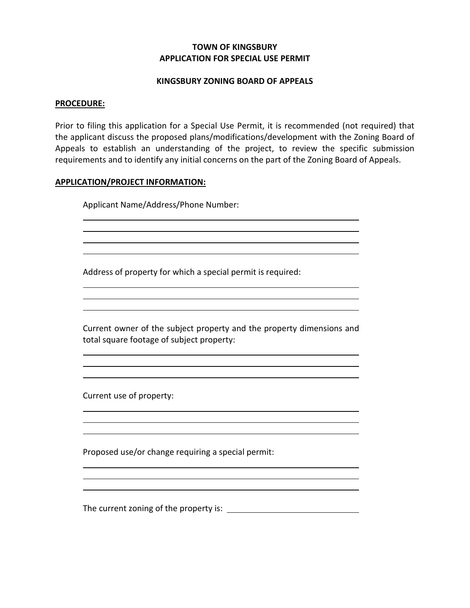# **TOWN OF KINGSBURY APPLICATION FOR SPECIAL USE PERMIT**

### **KINGSBURY ZONING BOARD OF APPEALS**

#### **PROCEDURE:**

Prior to filing this application for a Special Use Permit, it is recommended (not required) that the applicant discuss the proposed plans/modifications/development with the Zoning Board of Appeals to establish an understanding of the project, to review the specific submission requirements and to identify any initial concerns on the part of the Zoning Board of Appeals.

#### **APPLICATION/PROJECT INFORMATION:**

Applicant Name/Address/Phone Number:

Address of property for which a special permit is required:

Current owner of the subject property and the property dimensions and total square footage of subject property:

<u> 1989 - Johann Barbara, marka a shekara tsa 1989 - An tsa 1989 - An tsa 1989 - An tsa 1989 - An tsa 1989 - An</u>

Current use of property:

Proposed use/or change requiring a special permit:

The current zoning of the property is: